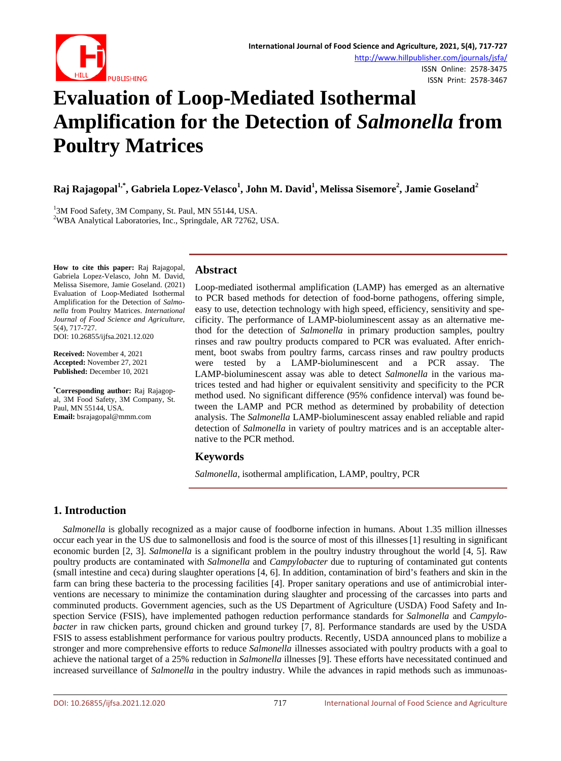

# **Evaluation of Loop-Mediated Isothermal Amplification for the Detection of** *Salmonella* **from Poultry Matrices**

Raj Rajagopal<sup>1,\*</sup>, Gabriela Lopez-Velasco<sup>1</sup>, John M. David<sup>1</sup>, Melissa Sisemore<sup>2</sup>, Jamie Goseland<sup>2</sup>

<sup>1</sup>3M Food Safety, 3M Company, St. Paul, MN 55144, USA. WBA Analytical Laboratories, Inc., Springdale, AR 72762, USA.

**How to cite this paper:** Raj Rajagopal, Gabriela Lopez-Velasco, John M. David, Melissa Sisemore, Jamie Goseland. (2021) Evaluation of Loop-Mediated Isothermal Amplification for the Detection of *Salmonella* from Poultry Matrices. *International Journal of Food Science and Agriculture*, 5(4), 717-727. DOI: 10.26855/ijfsa.2021.12.020

**Received:** November 4, 2021 **Accepted:** November 27, 2021 **Published:** December 10, 2021

**\* Corresponding author:** Raj Rajagopal, 3M Food Safety, 3M Company, St. Paul, MN 55144, USA. **Email:** bsrajagopal@mmm.com

## **Abstract**

Loop-mediated isothermal amplification (LAMP) has emerged as an alternative to PCR based methods for detection of food-borne pathogens, offering simple, easy to use, detection technology with high speed, efficiency, sensitivity and specificity. The performance of LAMP-bioluminescent assay as an alternative method for the detection of *Salmonella* in primary production samples, poultry rinses and raw poultry products compared to PCR was evaluated. After enrichment, boot swabs from poultry farms, carcass rinses and raw poultry products were tested by a LAMP-bioluminescent and a PCR assay. The LAMP-bioluminescent assay was able to detect *Salmonella* in the various matrices tested and had higher or equivalent sensitivity and specificity to the PCR method used. No significant difference (95% confidence interval) was found between the LAMP and PCR method as determined by probability of detection analysis. The *Salmonella* LAMP-bioluminescent assay enabled reliable and rapid detection of *Salmonella* in variety of poultry matrices and is an acceptable alternative to the PCR method.

## **Keywords**

*Salmonella*, isothermal amplification, LAMP, poultry, PCR

# **1. Introduction**

*Salmonella* is globally recognized as a major cause of foodborne infection in humans. About 1.35 million illnesses occur each year in the US due to salmonellosis and food is the source of most of this illnesses[1] resulting in significant economic burden [2, 3]. *Salmonella* is a significant problem in the poultry industry throughout the world [4, 5]. Raw poultry products are contaminated with *Salmonella* and *Campylobacter* due to rupturing of contaminated gut contents (small intestine and ceca) during slaughter operations [4, 6]. In addition, contamination of bird's feathers and skin in the farm can bring these bacteria to the processing facilities [4]. Proper sanitary operations and use of antimicrobial interventions are necessary to minimize the contamination during slaughter and processing of the carcasses into parts and comminuted products. Government agencies, such as the US Department of Agriculture (USDA) Food Safety and Inspection Service (FSIS), have implemented pathogen reduction performance standards for *Salmonella* and *Campylobacter* in raw chicken parts, ground chicken and ground turkey [7, 8]. Performance standards are used by the USDA FSIS to assess establishment performance for various poultry products. Recently, USDA announced plans to mobilize a stronger and more comprehensive efforts to reduce *Salmonella* illnesses associated with poultry products with a goal to achieve the national target of a 25% reduction in *Salmonella* illnesses [9]. These efforts have necessitated continued and increased surveillance of *Salmonella* in the poultry industry. While the advances in rapid methods such as immunoas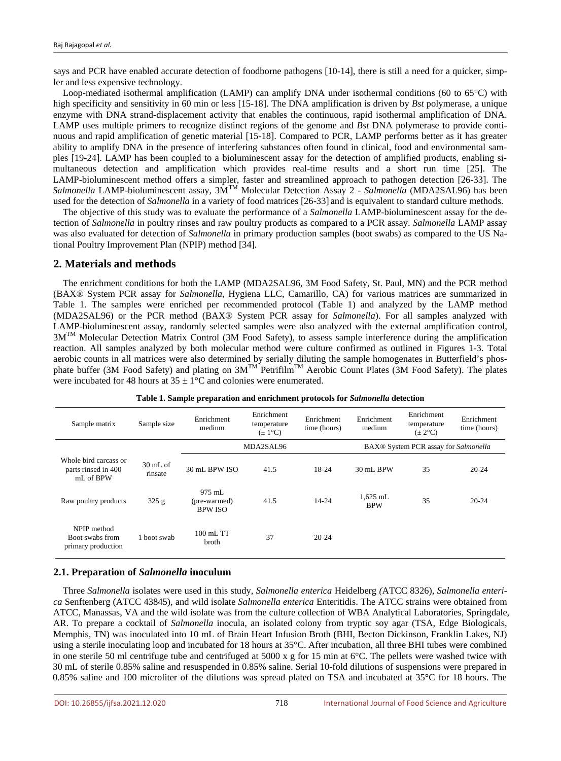says and PCR have enabled accurate detection of foodborne pathogens [10-14], there is still a need for a quicker, simpler and less expensive technology.

Loop-mediated isothermal amplification (LAMP) can amplify DNA under isothermal conditions (60 to 65°C) with high specificity and sensitivity in 60 min or less [15-18]. The DNA amplification is driven by *Bst* polymerase, a unique enzyme with DNA strand-displacement activity that enables the continuous, rapid isothermal amplification of DNA. LAMP uses multiple primers to recognize distinct regions of the genome and *Bst* DNA polymerase to provide continuous and rapid amplification of genetic material [15-18]. Compared to PCR, LAMP performs better as it has greater ability to amplify DNA in the presence of interfering substances often found in clinical, food and environmental samples [19-24]. LAMP has been coupled to a bioluminescent assay for the detection of amplified products, enabling simultaneous detection and amplification which provides real-time results and a short run time [25]. The LAMP-bioluminescent method offers a simpler, faster and streamlined approach to pathogen detection [26-33]. The *Salmonella* LAMP-bioluminescent assay, 3MTM Molecular Detection Assay 2 - *Salmonella* (MDA2SAL96) has been used for the detection of *Salmonella* in a variety of food matrices [26-33] and is equivalent to standard culture methods.

The objective of this study was to evaluate the performance of a *Salmonella* LAMP-bioluminescent assay for the detection of *Salmonella* in poultry rinses and raw poultry products as compared to a PCR assay. *Salmonella* LAMP assay was also evaluated for detection of *Salmonella* in primary production samples (boot swabs) as compared to the US National Poultry Improvement Plan (NPIP) method [34].

#### **2. Materials and methods**

The enrichment conditions for both the LAMP (MDA2SAL96, 3M Food Safety, St. Paul, MN) and the PCR method (BAX® System PCR assay for *Salmonella*, Hygiena LLC, Camarillo, CA) for various matrices are summarized in Table 1. The samples were enriched per recommended protocol (Table 1) and analyzed by the LAMP method (MDA2SAL96) or the PCR method (BAX® System PCR assay for *Salmonella*). For all samples analyzed with LAMP-bioluminescent assay, randomly selected samples were also analyzed with the external amplification control, 3M<sup>TM</sup> Molecular Detection Matrix Control (3M Food Safety), to assess sample interference during the amplification reaction. All samples analyzed by both molecular method were culture confirmed as outlined in Figures 1-3. Total aerobic counts in all matrices were also determined by serially diluting the sample homogenates in Butterfield's phosphate buffer (3M Food Safety) and plating on  $3M^{TM}$  Petrifilm<sup>TM</sup> Aerobic Count Plates (3M Food Safety). The plates were incubated for 48 hours at  $35 \pm 1$ °C and colonies were enumerated.

| Sample matrix                                             | Sample size                   | Enrichment<br>Enrichment<br>temperature<br>medium<br>$(\pm 1^{\circ}C)$ |           | Enrichment<br>time (hours) | Enrichment<br>medium     | Enrichment<br>temperature<br>$(\pm 2^{\circ}C)$ |           |
|-----------------------------------------------------------|-------------------------------|-------------------------------------------------------------------------|-----------|----------------------------|--------------------------|-------------------------------------------------|-----------|
|                                                           |                               |                                                                         | MDA2SAL96 |                            |                          | BAX® System PCR assay for Salmonella            |           |
| Whole bird carcass or<br>parts rinsed in 400<br>mL of BPW | $30 \text{ mL of}$<br>rinsate | 30 mL BPW ISO                                                           | 41.5      | 18-24                      | 30 mL BPW                | 35                                              | $20 - 24$ |
| Raw poultry products                                      | 325 g                         | $975$ mL<br>(pre-warmed)<br><b>BPW ISO</b>                              | 41.5      | 14-24                      | $1.625$ mL<br><b>BPW</b> | 35                                              | $20 - 24$ |
| NPIP method<br>Boot swabs from<br>primary production      | 1 boot swab                   | $100 \text{ mL}$ TT<br>broth                                            | 37        | $20 - 24$                  |                          |                                                 |           |

**Table 1. Sample preparation and enrichment protocols for** *Salmonella* **detection**

#### **2.1. Preparation of** *Salmonella* **inoculum**

Three *Salmonella* isolates were used in this study, *Salmonella enterica* Heidelberg *(*ATCC 8326), *Salmonella enterica* Senftenberg (ATCC 43845)*,* and wild isolate *Salmonella enterica* Enteritidis. The ATCC strains were obtained from ATCC, Manassas, VA and the wild isolate was from the culture collection of WBA Analytical Laboratories, Springdale, AR. To prepare a cocktail of *Salmonella* inocula, an isolated colony from tryptic soy agar (TSA, Edge Biologicals, Memphis, TN) was inoculated into 10 mL of Brain Heart Infusion Broth (BHI, Becton Dickinson, Franklin Lakes, NJ) using a sterile inoculating loop and incubated for 18 hours at 35°C. After incubation, all three BHI tubes were combined in one sterile 50 ml centrifuge tube and centrifuged at 5000 x g for 15 min at 6°C. The pellets were washed twice with 30 mL of sterile 0.85% saline and resuspended in 0.85% saline. Serial 10-fold dilutions of suspensions were prepared in 0.85% saline and 100 microliter of the dilutions was spread plated on TSA and incubated at 35°C for 18 hours. The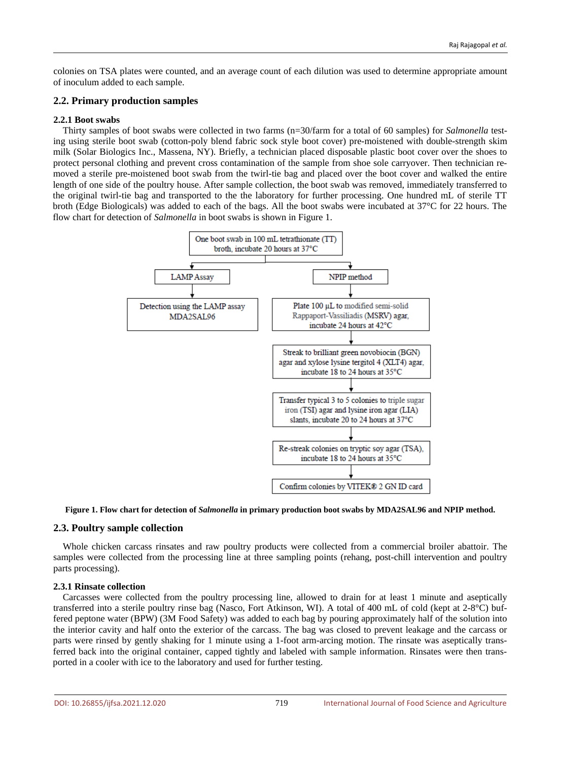colonies on TSA plates were counted, and an average count of each dilution was used to determine appropriate amount of inoculum added to each sample.

## **2.2. Primary production samples**

## **2.2.1 Boot swabs**

Thirty samples of boot swabs were collected in two farms (n=30/farm for a total of 60 samples) for *Salmonella* testing using sterile boot swab (cotton-poly blend fabric sock style boot cover) pre-moistened with double-strength skim milk (Solar Biologics Inc., Massena, NY). Briefly, a technician placed disposable plastic boot cover over the shoes to protect personal clothing and prevent cross contamination of the sample from shoe sole carryover. Then technician removed a sterile pre-moistened boot swab from the twirl-tie bag and placed over the boot cover and walked the entire length of one side of the poultry house. After sample collection, the boot swab was removed, immediately transferred to the original twirl-tie bag and transported to the the laboratory for further processing. One hundred mL of sterile TT broth (Edge Biologicals) was added to each of the bags. All the boot swabs were incubated at 37°C for 22 hours. The flow chart for detection of *Salmonella* in boot swabs is shown in Figure 1.





## **2.3. Poultry sample collection**

Whole chicken carcass rinsates and raw poultry products were collected from a commercial broiler abattoir. The samples were collected from the processing line at three sampling points (rehang, post-chill intervention and poultry parts processing).

#### **2.3.1 Rinsate collection**

Carcasses were collected from the poultry processing line, allowed to drain for at least 1 minute and aseptically transferred into a sterile poultry rinse bag (Nasco, Fort Atkinson, WI). A total of 400 mL of cold (kept at 2-8°C) buffered peptone water (BPW) (3M Food Safety) was added to each bag by pouring approximately half of the solution into the interior cavity and half onto the exterior of the carcass. The bag was closed to prevent leakage and the carcass or parts were rinsed by gently shaking for 1 minute using a 1-foot arm-arcing motion. The rinsate was aseptically transferred back into the original container, capped tightly and labeled with sample information. Rinsates were then transported in a cooler with ice to the laboratory and used for further testing.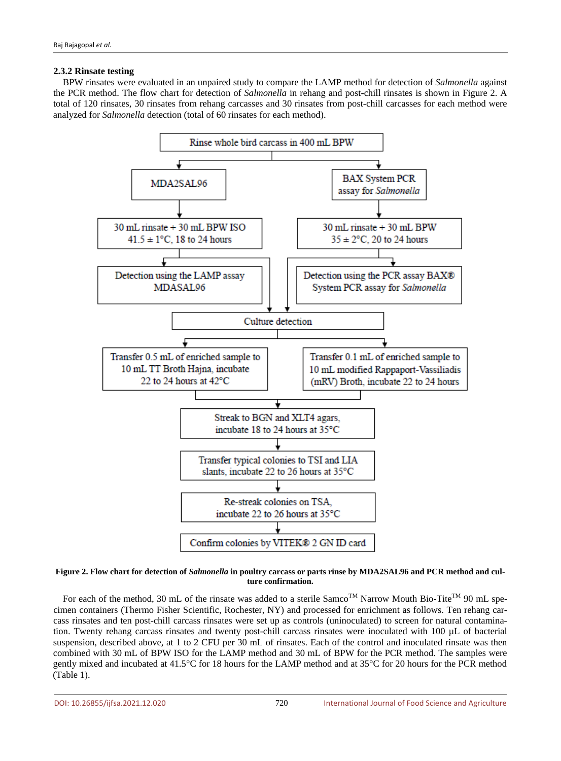## **2.3.2 Rinsate testing**

BPW rinsates were evaluated in an unpaired study to compare the LAMP method for detection of *Salmonella* against the PCR method. The flow chart for detection of *Salmonella* in rehang and post-chill rinsates is shown in Figure 2. A total of 120 rinsates, 30 rinsates from rehang carcasses and 30 rinsates from post-chill carcasses for each method were analyzed for *Salmonella* detection (total of 60 rinsates for each method).



#### **Figure 2. Flow chart for detection of** *Salmonella* **in poultry carcass or parts rinse by MDA2SAL96 and PCR method and culture confirmation.**

For each of the method, 30 mL of the rinsate was added to a sterile Samco<sup>TM</sup> Narrow Mouth Bio-Tite<sup>TM</sup> 90 mL specimen containers (Thermo Fisher Scientific, Rochester, NY) and processed for enrichment as follows. Ten rehang carcass rinsates and ten post-chill carcass rinsates were set up as controls (uninoculated) to screen for natural contamination. Twenty rehang carcass rinsates and twenty post-chill carcass rinsates were inoculated with 100 µL of bacterial suspension, described above, at 1 to 2 CFU per 30 mL of rinsates. Each of the control and inoculated rinsate was then combined with 30 mL of BPW ISO for the LAMP method and 30 mL of BPW for the PCR method. The samples were gently mixed and incubated at 41.5°C for 18 hours for the LAMP method and at 35°C for 20 hours for the PCR method (Table 1).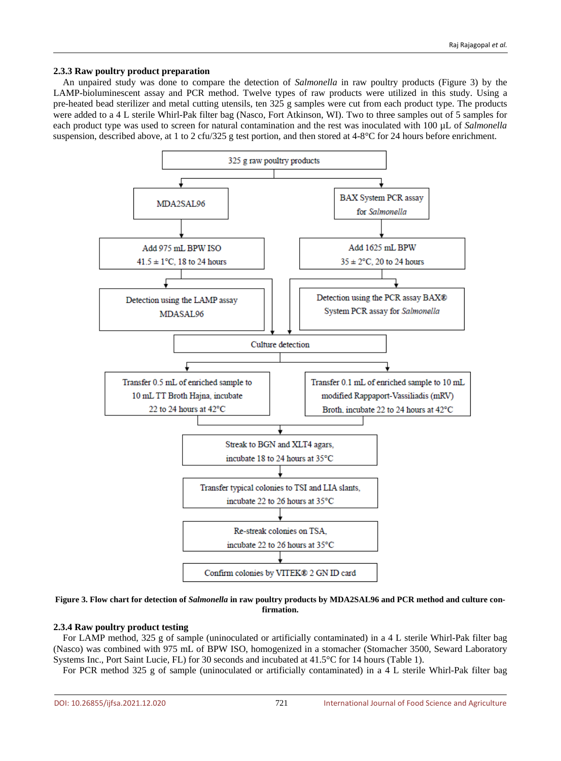#### **2.3.3 Raw poultry product preparation**

An unpaired study was done to compare the detection of *Salmonella* in raw poultry products (Figure 3) by the LAMP-bioluminescent assay and PCR method. Twelve types of raw products were utilized in this study. Using a pre-heated bead sterilizer and metal cutting utensils, ten 325 g samples were cut from each product type. The products were added to a 4 L sterile Whirl-Pak filter bag (Nasco, Fort Atkinson, WI). Two to three samples out of 5 samples for each product type was used to screen for natural contamination and the rest was inoculated with 100 µL of *Salmonella* suspension, described above, at 1 to 2 cfu/325 g test portion, and then stored at 4-8°C for 24 hours before enrichment.





#### **2.3.4 Raw poultry product testing**

For LAMP method, 325 g of sample (uninoculated or artificially contaminated) in a 4 L sterile Whirl-Pak filter bag (Nasco) was combined with 975 mL of BPW ISO, homogenized in a stomacher (Stomacher 3500, Seward Laboratory Systems Inc., Port Saint Lucie, FL) for 30 seconds and incubated at 41.5°C for 14 hours (Table 1).

For PCR method 325 g of sample (uninoculated or artificially contaminated) in a 4 L sterile Whirl-Pak filter bag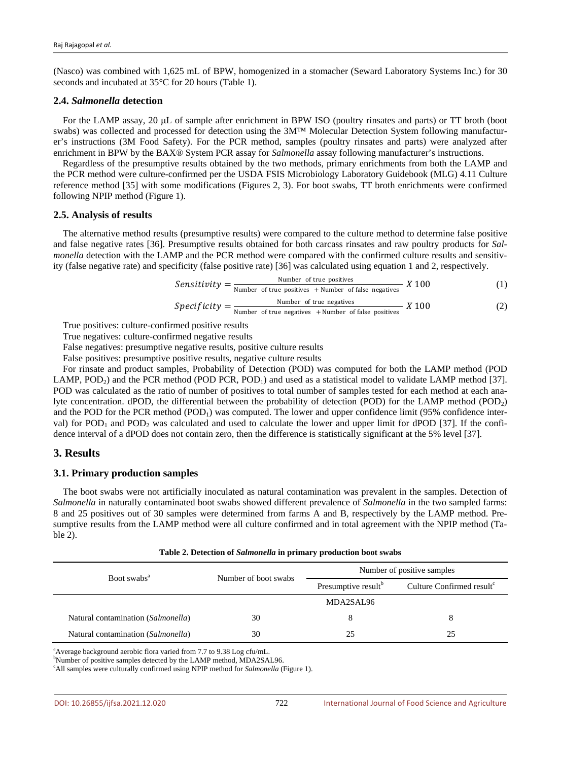(Nasco) was combined with 1,625 mL of BPW, homogenized in a stomacher (Seward Laboratory Systems Inc.) for 30 seconds and incubated at 35°C for 20 hours (Table 1).

#### **2.4.** *Salmonella* **detection**

For the LAMP assay, 20  $\mu$ L of sample after enrichment in BPW ISO (poultry rinsates and parts) or TT broth (boot swabs) was collected and processed for detection using the 3M™ Molecular Detection System following manufacturer's instructions (3M Food Safety). For the PCR method, samples (poultry rinsates and parts) were analyzed after enrichment in BPW by the BAX® System PCR assay for *Salmonella* assay following manufacturer's instructions.

Regardless of the presumptive results obtained by the two methods, primary enrichments from both the LAMP and the PCR method were culture-confirmed per the USDA FSIS Microbiology Laboratory Guidebook (MLG) 4.11 Culture reference method [35] with some modifications (Figures 2, 3). For boot swabs, TT broth enrichments were confirmed following NPIP method (Figure 1).

#### **2.5. Analysis of results**

The alternative method results (presumptive results) were compared to the culture method to determine false positive and false negative rates [36]. Presumptive results obtained for both carcass rinsates and raw poultry products for *Salmonella* detection with the LAMP and the PCR method were compared with the confirmed culture results and sensitivity (false negative rate) and specificity (false positive rate) [36] was calculated using equation 1 and 2, respectively.

$$
Sensitivity = \frac{\text{Number of true positives}}{\text{Number of true positives} + \text{Number of false negatives}} \, X \, 100 \tag{1}
$$

*Specificity* = 
$$
\frac{\text{Number of true negatives}}{\text{Number of true negatives} + \text{Number of false positives}} \quad X \, 100
$$
 (2)

True positives: culture-confirmed positive results

True negatives: culture-confirmed negative results

False negatives: presumptive negative results, positive culture results

False positives: presumptive positive results, negative culture results

For rinsate and product samples, Probability of Detection (POD) was computed for both the LAMP method (POD LAMP,  $POD<sub>2</sub>$ ) and the PCR method (POD PCR,  $POD<sub>1</sub>$ ) and used as a statistical model to validate LAMP method [37]. POD was calculated as the ratio of number of positives to total number of samples tested for each method at each analyte concentration. dPOD, the differential between the probability of detection (POD) for the LAMP method (POD<sub>2</sub>) and the POD for the PCR method  $(POD<sub>1</sub>)$  was computed. The lower and upper confidence limit (95% confidence interval) for  $POD_1$  and  $POD_2$  was calculated and used to calculate the lower and upper limit for dPOD [37]. If the confidence interval of a dPOD does not contain zero, then the difference is statistically significant at the 5% level [37].

## **3. Results**

#### **3.1. Primary production samples**

The boot swabs were not artificially inoculated as natural contamination was prevalent in the samples. Detection of *Salmonella* in naturally contaminated boot swabs showed different prevalence of *Salmonella* in the two sampled farms: 8 and 25 positives out of 30 samples were determined from farms A and B, respectively by the LAMP method. Presumptive results from the LAMP method were all culture confirmed and in total agreement with the NPIP method (Table 2).

|                                    |                      | Number of positive samples      |                                       |  |  |
|------------------------------------|----------------------|---------------------------------|---------------------------------------|--|--|
| Boot swabs <sup>a</sup>            | Number of boot swabs | Presumptive result <sup>b</sup> | Culture Confirmed result <sup>c</sup> |  |  |
|                                    |                      | MDA2SAL96                       |                                       |  |  |
| Natural contamination (Salmonella) | 30                   |                                 |                                       |  |  |
| Natural contamination (Salmonella) | 30                   | 25                              | 25                                    |  |  |

**Table 2. Detection of** *Salmonella* **in primary production boot swabs**

<sup>a</sup> Average background aerobic flora varied from 7.7 to 9.38 Log cfu/mL.

<sup>b</sup>Number of positive samples detected by the LAMP method, MDA2SAL96.

c All samples were culturally confirmed using NPIP method for *Salmonella* (Figure 1).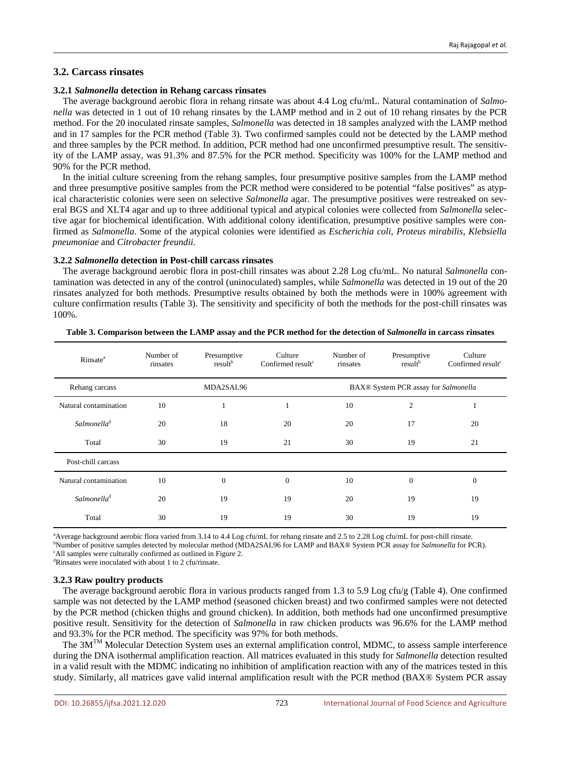#### **3.2.1** *Salmonella* **detection in Rehang carcass rinsates**

The average background aerobic flora in rehang rinsate was about 4.4 Log cfu/mL. Natural contamination of *Salmonella* was detected in 1 out of 10 rehang rinsates by the LAMP method and in 2 out of 10 rehang rinsates by the PCR method. For the 20 inoculated rinsate samples, *Salmonella* was detected in 18 samples analyzed with the LAMP method and in 17 samples for the PCR method (Table 3). Two confirmed samples could not be detected by the LAMP method and three samples by the PCR method. In addition, PCR method had one unconfirmed presumptive result. The sensitivity of the LAMP assay, was 91.3% and 87.5% for the PCR method. Specificity was 100% for the LAMP method and 90% for the PCR method.

In the initial culture screening from the rehang samples, four presumptive positive samples from the LAMP method and three presumptive positive samples from the PCR method were considered to be potential "false positives" as atypical characteristic colonies were seen on selective *Salmonella* agar. The presumptive positives were restreaked on several BGS and XLT4 agar and up to three additional typical and atypical colonies were collected from *Salmonella* selective agar for biochemical identification. With additional colony identification, presumptive positive samples were confirmed as *Salmonella*. Some of the atypical colonies were identified as *Escherichia coli*, *Proteus mirabilis*, *Klebsiella pneumoniae* and *Citrobacter freundii.*

**3.2.2** *Salmonella* **detection in Post-chill carcass rinsates**

The average background aerobic flora in post-chill rinsates was about 2.28 Log cfu/mL. No natural *Salmonella* contamination was detected in any of the control (uninoculated) samples, while *Salmonella* was detected in 19 out of the 20 rinsates analyzed for both methods. Presumptive results obtained by both the methods were in 100% agreement with culture confirmation results (Table 3). The sensitivity and specificity of both the methods for the post-chill rinsates was 100%.

| <b>Rinsate</b> <sup>a</sup> | Number of<br>rinsates | Presumptive<br>result <sup>b</sup> | Culture<br>Confirmed result <sup>c</sup> | Number of<br>Presumptive<br>result <sup>b</sup><br>rinsates |                | Culture<br>Confirmed result <sup>c</sup> |  |
|-----------------------------|-----------------------|------------------------------------|------------------------------------------|-------------------------------------------------------------|----------------|------------------------------------------|--|
| Rehang carcass              |                       | MDA2SAL96                          |                                          | BAX® System PCR assay for Salmonella                        |                |                                          |  |
| Natural contamination       | 10                    |                                    |                                          | 10                                                          | $\overline{2}$ |                                          |  |
| Salmonella <sup>d</sup>     | 20                    | 18                                 | 20                                       | 20                                                          | 17             | 20                                       |  |
| Total                       | 30                    | 19                                 | 21                                       | 30                                                          | 19             | 21                                       |  |
| Post-chill carcass          |                       |                                    |                                          |                                                             |                |                                          |  |
| Natural contamination       | 10                    | $\boldsymbol{0}$                   | $\boldsymbol{0}$                         | 10                                                          | $\mathbf{0}$   | $\theta$                                 |  |
| Salmonella <sup>d</sup>     | 20                    | 19                                 | 19                                       | 20                                                          | 19             | 19                                       |  |
| Total                       | 30                    | 19                                 | 19                                       | 30                                                          | 19             | 19                                       |  |

**Table 3. Comparison between the LAMP assay and the PCR method for the detection of** *Salmonella* **in carcass rinsates**

a Average background aerobic flora varied from 3.14 to 4.4 Log cfu/mL for rehang rinsate and 2.5 to 2.28 Log cfu/mL for post-chill rinsate. b Number of positive samples detected by molecular method (MDA2SAL96 for LAMP and BAX® System PCR assay for *Salmonella* for PCR). <sup>c</sup>All samples were culturally confirmed as outlined in Figure 2.

d Rinsates were inoculated with about 1 to 2 cfu/rinsate.

#### **3.2.3 Raw poultry products**

The average background aerobic flora in various products ranged from 1.3 to 5.9 Log cfu/g (Table 4). One confirmed sample was not detected by the LAMP method (seasoned chicken breast) and two confirmed samples were not detected by the PCR method (chicken thighs and ground chicken). In addition, both methods had one unconfirmed presumptive positive result. Sensitivity for the detection of *Salmonella* in raw chicken products was 96.6% for the LAMP method and 93.3% for the PCR method. The specificity was 97% for both methods.

The  $3M<sup>TM</sup>$  Molecular Detection System uses an external amplification control, MDMC, to assess sample interference during the DNA isothermal amplification reaction. All matrices evaluated in this study for *Salmonella* detection resulted in a valid result with the MDMC indicating no inhibition of amplification reaction with any of the matrices tested in this study. Similarly, all matrices gave valid internal amplification result with the PCR method (BAX® System PCR assay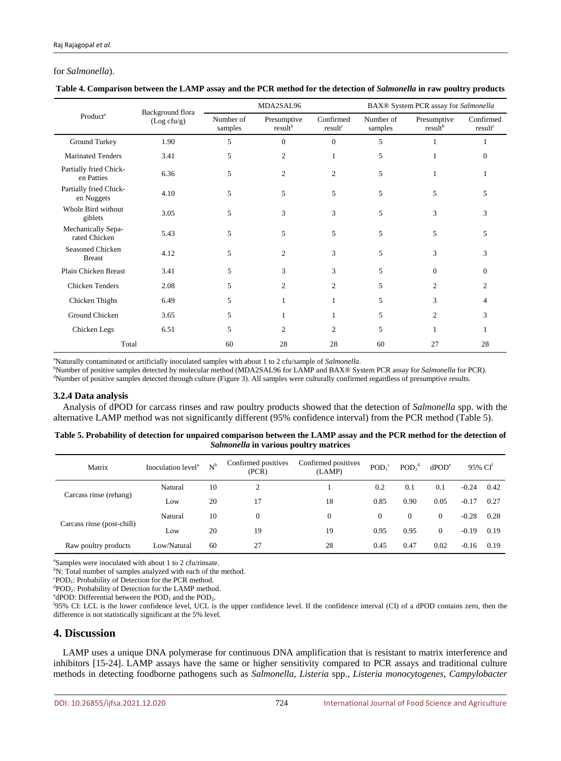## for *Salmonella*).

|                                      | Background flora |                      | MDA2SAL96                          |                                  | BAX® System PCR assay for Salmonella |                                    |                                  |  |
|--------------------------------------|------------------|----------------------|------------------------------------|----------------------------------|--------------------------------------|------------------------------------|----------------------------------|--|
| Product <sup>a</sup>                 | (Log cfu/g)      | Number of<br>samples | Presumptive<br>result <sup>b</sup> | Confirmed<br>result <sup>c</sup> | Number of<br>samples                 | Presumptive<br>result <sup>b</sup> | Confirmed<br>result <sup>c</sup> |  |
| Ground Turkey                        | 1.90             | 5                    | $\Omega$                           | $\mathbf{0}$                     | 5                                    |                                    |                                  |  |
| <b>Marinated Tenders</b>             | 3.41             | 5                    | $\overline{c}$                     | 1                                | 5                                    |                                    | 0                                |  |
| Partially fried Chick-<br>en Patties | 6.36             | 5                    | $\overline{c}$                     | $\overline{c}$                   | 5                                    | 1                                  |                                  |  |
| Partially fried Chick-<br>en Nuggets | 4.10             | 5                    | 5                                  | 5                                | 5                                    | 5                                  | 5                                |  |
| Whole Bird without<br>giblets        | 3.05             | 5                    | 3                                  | 3                                | 5                                    | 3                                  | 3                                |  |
| Mechanically Sepa-<br>rated Chicken  | 5.43             | 5                    | 5                                  | 5                                | 5                                    | 5                                  | 5                                |  |
| Seasoned Chicken<br><b>Breast</b>    | 4.12             | 5                    | $\overline{c}$                     | 3                                | 5                                    | 3                                  | 3                                |  |
| Plain Chicken Breast                 | 3.41             | 5                    | 3                                  | 3                                | 5                                    | $\Omega$                           | 0                                |  |
| <b>Chicken Tenders</b>               | 2.08             | 5                    | 2                                  | $\overline{c}$                   | 5                                    | $\overline{c}$                     | 2                                |  |
| Chicken Thighs                       | 6.49             | 5                    |                                    | 1                                | 5                                    | 3                                  | 4                                |  |
| Ground Chicken                       | 3.65             | 5                    |                                    | 1                                | 5                                    | 2                                  | 3                                |  |
| Chicken Legs                         | 6.51             | 5                    | 2                                  | $\overline{c}$                   | 5                                    |                                    |                                  |  |
| Total                                |                  | 60                   | 28                                 | 28                               | 60                                   | 27                                 | 28                               |  |

|  | Table 4. Comparison between the LAMP assay and the PCR method for the detection of Salmonella in raw poultry products |  |  |  |  |
|--|-----------------------------------------------------------------------------------------------------------------------|--|--|--|--|
|--|-----------------------------------------------------------------------------------------------------------------------|--|--|--|--|

a Naturally contaminated or artificially inoculated samples with about 1 to 2 cfu/sample of *Salmonella*.

b Number of positive samples detected by molecular method (MDA2SAL96 for LAMP and BAX® System PCR assay for *Salmonella* for PCR).

<sup>d</sup>Number of positive samples detected through culture (Figure 3). All samples were culturally confirmed regardless of presumptive results.

#### **3.2.4 Data analysis**

Analysis of dPOD for carcass rinses and raw poultry products showed that the detection of *Salmonella* spp. with the alternative LAMP method was not significantly different (95% confidence interval) from the PCR method (Table 5).

| Table 5. Probability of detection for unpaired comparison between the LAMP assay and the PCR method for the detection of |
|--------------------------------------------------------------------------------------------------------------------------|
| <i>Salmonella</i> in various poultry matrices                                                                            |

| Matrix                     | Inoculation level <sup>a</sup> | $N^b$ | Confirmed positives<br>(PCR) | Confirmed positives<br>(LAMP) | $POD_1^c$ | POD <sub>2</sub> <sup>d</sup> | dPOD <sup>e</sup> |         | $95\%$ CI <sup>t</sup> |  |
|----------------------------|--------------------------------|-------|------------------------------|-------------------------------|-----------|-------------------------------|-------------------|---------|------------------------|--|
| Carcass rinse (rehang)     | Natural                        | 10    | $\overline{2}$               |                               | 0.2       | 0.1                           | 0.1               | $-0.24$ | 0.42                   |  |
|                            | Low                            | 20    |                              | 18                            | 0.85      | 0.90                          | 0.05              | $-0.17$ | 0.27                   |  |
|                            | Natural                        | 10    | $\mathbf{0}$                 | $\overline{0}$                | $\Omega$  | $\Omega$                      | 0                 | $-0.28$ | 0.28                   |  |
| Carcass rinse (post-chill) | Low                            | 20    | 19                           | 19                            | 0.95      | 0.95                          | 0                 | $-0.19$ | 0.19                   |  |
| Raw poultry products       | Low/Natural                    | 60    | 27                           | 28                            | 0.45      | 0.47                          | 0.02              | $-0.16$ | 0.19                   |  |

a Samples were inoculated with about 1 to 2 cfu/rinsate.

<sup>b</sup>N: Total number of samples analyzed with each of the method.

 ${}^{c}POD_1$ : Probability of Detection for the PCR method.

 ${}^{d}$ POD<sub>2</sub>: Probability of Detection for the LAMP method.

<sup>e</sup>dPOD: Differential between the  $POD<sub>1</sub>$  and the  $POD<sub>2</sub>$ .

95% CI: LCL is the lower confidence level, UCL is the upper confidence level. If the confidence interval (CI) of a dPOD contains zero, then the difference is not statistically significant at the 5% level.

## **4. Discussion**

LAMP uses a unique DNA polymerase for continuous DNA amplification that is resistant to matrix interference and inhibitors [15-24]. LAMP assays have the same or higher sensitivity compared to PCR assays and traditional culture methods in detecting foodborne pathogens such as *Salmonella*, *Listeria* spp., *Listeria monocytogenes*, *Campylobacter*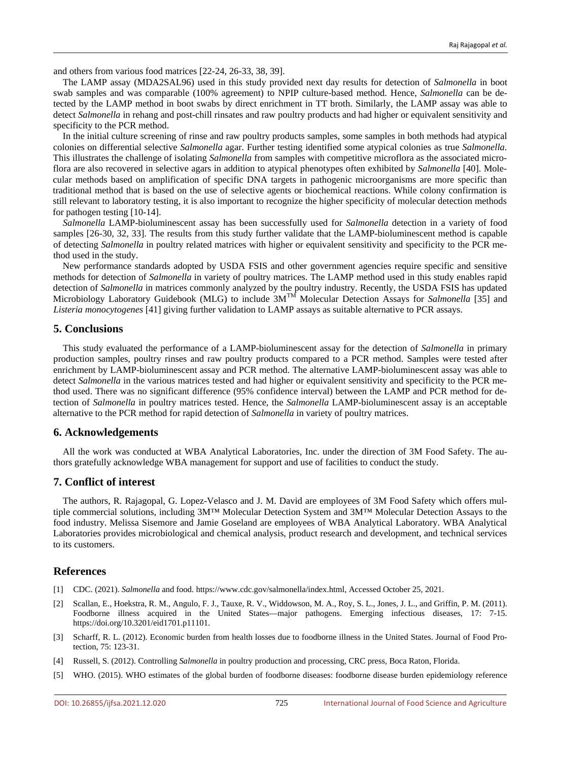and others from various food matrices [22-24, 26-33, 38, 39].

The LAMP assay (MDA2SAL96) used in this study provided next day results for detection of *Salmonella* in boot swab samples and was comparable (100% agreement) to NPIP culture-based method. Hence, *Salmonella* can be detected by the LAMP method in boot swabs by direct enrichment in TT broth. Similarly, the LAMP assay was able to detect *Salmonella* in rehang and post-chill rinsates and raw poultry products and had higher or equivalent sensitivity and specificity to the PCR method.

In the initial culture screening of rinse and raw poultry products samples, some samples in both methods had atypical colonies on differential selective *Salmonella* agar. Further testing identified some atypical colonies as true *Salmonella*. This illustrates the challenge of isolating *Salmonella* from samples with competitive microflora as the associated microflora are also recovered in selective agars in addition to atypical phenotypes often exhibited by *Salmonella* [40]. Molecular methods based on amplification of specific DNA targets in pathogenic microorganisms are more specific than traditional method that is based on the use of selective agents or biochemical reactions. While colony confirmation is still relevant to laboratory testing, it is also important to recognize the higher specificity of molecular detection methods for pathogen testing [10-14].

*Salmonella* LAMP-bioluminescent assay has been successfully used for *Salmonella* detection in a variety of food samples [26-30, 32, 33]. The results from this study further validate that the LAMP-bioluminescent method is capable of detecting *Salmonella* in poultry related matrices with higher or equivalent sensitivity and specificity to the PCR method used in the study.

New performance standards adopted by USDA FSIS and other government agencies require specific and sensitive methods for detection of *Salmonella* in variety of poultry matrices. The LAMP method used in this study enables rapid detection of *Salmonella* in matrices commonly analyzed by the poultry industry. Recently, the USDA FSIS has updated Microbiology Laboratory Guidebook (MLG) to include 3M<sup>TM</sup> Molecular Detection Assays for *Salmonella* [35] and *Listeria monocytogenes* [41] giving further validation to LAMP assays as suitable alternative to PCR assays.

#### **5. Conclusions**

This study evaluated the performance of a LAMP-bioluminescent assay for the detection of *Salmonella* in primary production samples, poultry rinses and raw poultry products compared to a PCR method. Samples were tested after enrichment by LAMP-bioluminescent assay and PCR method. The alternative LAMP-bioluminescent assay was able to detect *Salmonella* in the various matrices tested and had higher or equivalent sensitivity and specificity to the PCR method used. There was no significant difference (95% confidence interval) between the LAMP and PCR method for detection of *Salmonella* in poultry matrices tested. Hence, the *Salmonella* LAMP-bioluminescent assay is an acceptable alternative to the PCR method for rapid detection of *Salmonella* in variety of poultry matrices.

## **6. Acknowledgements**

All the work was conducted at WBA Analytical Laboratories, Inc. under the direction of 3M Food Safety. The authors gratefully acknowledge WBA management for support and use of facilities to conduct the study.

## **7. Conflict of interest**

The authors, R. Rajagopal, G. Lopez-Velasco and J. M. David are employees of 3M Food Safety which offers multiple commercial solutions, including 3M™ Molecular Detection System and 3M™ Molecular Detection Assays to the food industry. Melissa Sisemore and Jamie Goseland are employees of WBA Analytical Laboratory. WBA Analytical Laboratories provides microbiological and chemical analysis, product research and development, and technical services to its customers.

#### **References**

- [1] CDC. (2021). *Salmonella* and food. https://www.cdc.gov/salmonella/index.html, Accessed October 25, 2021.
- [2] Scallan, E., Hoekstra, R. M., Angulo, F. J., Tauxe, R. V., Widdowson, M. A., Roy, S. L., Jones, J. L., and Griffin, P. M. (2011). Foodborne illness acquired in the United States—major pathogens. Emerging infectious diseases, 17: 7-15. https://doi.org/10.3201/eid1701.p11101.
- [3] Scharff, R. L. (2012). Economic burden from health losses due to foodborne illness in the United States. Journal of Food Protection, 75: 123-31.
- [4] Russell, S. (2012). Controlling *Salmonella* in poultry production and processing, CRC press, Boca Raton, Florida.
- [5] WHO. (2015). WHO estimates of the global burden of foodborne diseases: foodborne disease burden epidemiology reference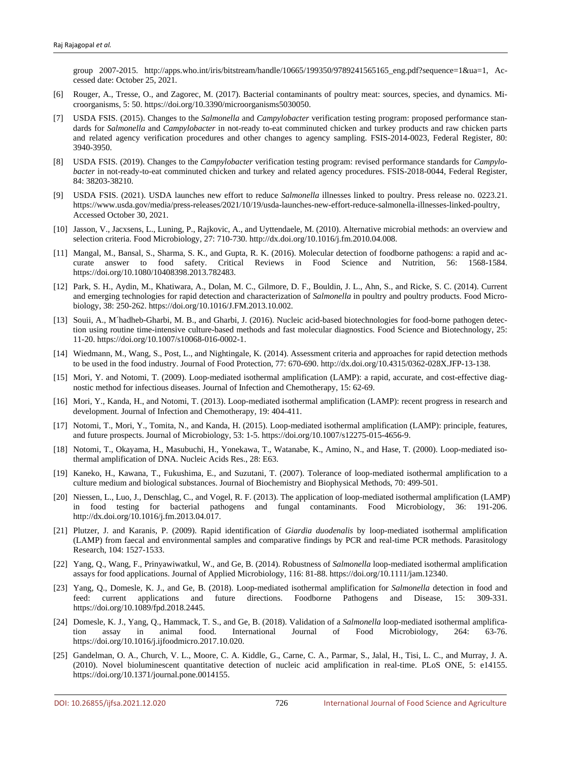group 2007-2015. http://apps.who.int/iris/bitstream/handle/10665/199350/9789241565165\_eng.pdf?sequence=1&ua=1, Accessed date: October 25, 2021.

- [6] Rouger, A., Tresse, O., and Zagorec, M. (2017). Bacterial contaminants of poultry meat: sources, species, and dynamics. Microorganisms, 5: 50. https://doi.org/10.3390/microorganisms5030050.
- [7] USDA FSIS. (2015). Changes to the *Salmonella* and *Campylobacter* verification testing program: proposed performance standards for *Salmonella* and *Campylobacter* in not-ready to-eat comminuted chicken and turkey products and raw chicken parts and related agency verification procedures and other changes to agency sampling. FSIS-2014-0023, Federal Register, 80: 3940-3950.
- [8] USDA FSIS. (2019). Changes to the *Campylobacter* verification testing program: revised performance standards for *Campylobacter* in not-ready-to-eat comminuted chicken and turkey and related agency procedures. FSIS-2018-0044, Federal Register, 84: 38203-38210.
- [9] USDA FSIS. (2021). USDA launches new effort to reduce *Salmonella* illnesses linked to poultry. Press release no. 0223.21. https://www.usda.gov/media/press-releases/2021/10/19/usda-launches-new-effort-reduce-salmonella-illnesses-linked-poultry, Accessed October 30, 2021.
- [10] Jasson, V., Jacxsens, L., Luning, P., Rajkovic, A., and Uyttendaele, M. (2010). Alternative microbial methods: an overview and selection criteria. Food Microbiology, 27: 710-730. http://dx.doi.org/10.1016/j.fm.2010.04.008.
- [11] Mangal, M., Bansal, S., Sharma, S. K., and Gupta, R. K. (2016). Molecular detection of foodborne pathogens: a rapid and accurate answer to food safety. Critical Reviews in Food Science and Nutrition, 56: 1568-1584. https://doi.org/10.1080/10408398.2013.782483.
- [12] Park, S. H., Aydin, M., Khatiwara, A., Dolan, M. C., Gilmore, D. F., Bouldin, J. L., Ahn, S., and Ricke, S. C. (2014). Current and emerging technologies for rapid detection and characterization of *Salmonella* in poultry and poultry products. Food Microbiology, 38: 250-262. https://doi.org/10.1016/J.FM.2013.10.002.
- [13] Souii, A., M´hadheb-Gharbi, M. B., and Gharbi, J. (2016). Nucleic acid-based biotechnologies for food-borne pathogen detection using routine time-intensive culture-based methods and fast molecular diagnostics. Food Science and Biotechnology, 25: 11-20. https://doi.org/10.1007/s10068-016-0002-1.
- [14] Wiedmann, M., Wang, S., Post, L., and Nightingale, K. (2014). Assessment criteria and approaches for rapid detection methods to be used in the food industry. Journal of Food Protection, 77: 670-690. http://dx.doi.org/10.4315/0362-028X.JFP-13-138.
- [15] Mori, Y. and Notomi, T. (2009). Loop-mediated isothermal amplification (LAMP): a rapid, accurate, and cost-effective diagnostic method for infectious diseases. Journal of Infection and Chemotherapy, 15: 62-69.
- [16] Mori, Y., Kanda, H., and Notomi, T. (2013). Loop-mediated isothermal amplification (LAMP): recent progress in research and development. Journal of Infection and Chemotherapy, 19: 404-411.
- [17] Notomi, T., Mori, Y., Tomita, N., and Kanda, H. (2015). Loop-mediated isothermal amplification (LAMP): principle, features, and future prospects. Journal of Microbiology, 53: 1-5. https://doi.org/10.1007/s12275-015-4656-9.
- [18] Notomi, T., Okayama, H., Masubuchi, H., Yonekawa, T., Watanabe, K., Amino, N., and Hase, T. (2000). Loop-mediated isothermal amplification of DNA. Nucleic Acids Res., 28: E63.
- [19] Kaneko, H., Kawana, T., Fukushima, E., and Suzutani, T. (2007). Tolerance of loop-mediated isothermal amplification to a culture medium and biological substances. Journal of Biochemistry and Biophysical Methods, 70: 499-501.
- [20] Niessen, L., Luo, J., Denschlag, C., and Vogel, R. F. (2013). The application of loop-mediated isothermal amplification (LAMP) in food testing for bacterial pathogens and fungal contaminants. Food Microbiology, 36: 191-206. http://dx.doi.org/10.1016/j.fm.2013.04.017.
- [21] Plutzer, J. and Karanis, P. (2009). Rapid identification of *Giardia duodenalis* by loop-mediated isothermal amplification (LAMP) from faecal and environmental samples and comparative findings by PCR and real-time PCR methods. Parasitology Research, 104: 1527-1533.
- [22] Yang, Q., Wang, F., Prinyawiwatkul, W., and Ge, B. (2014). Robustness of *Salmonella* loop-mediated isothermal amplification assays for food applications. Journal of Applied Microbiology, 116: 81-88. https://doi.org/10.1111/jam.12340.
- [23] Yang, Q., Domesle, K. J., and Ge, B. (2018). Loop-mediated isothermal amplification for *Salmonella* detection in food and feed: current applications and future directions. Foodborne Pathogens and Disease, 15: 309-331. https://doi.org/10.1089/fpd.2018.2445.
- [24] Domesle, K. J., Yang, Q., Hammack, T. S., and Ge, B. (2018). Validation of a *Salmonella* loop-mediated isothermal amplification assay in animal food. International Journal of Food Microbiology, 264: 63-76. https://doi.org/10.1016/j.ijfoodmicro.2017.10.020.
- [25] Gandelman, O. A., Church, V. L., Moore, C. A. Kiddle, G., Carne, C. A., Parmar, S., Jalal, H., Tisi, L. C., and Murray, J. A. (2010). Novel bioluminescent quantitative detection of nucleic acid amplification in real-time. PLoS ONE, 5: e14155. https://doi.org/10.1371/journal.pone.0014155.